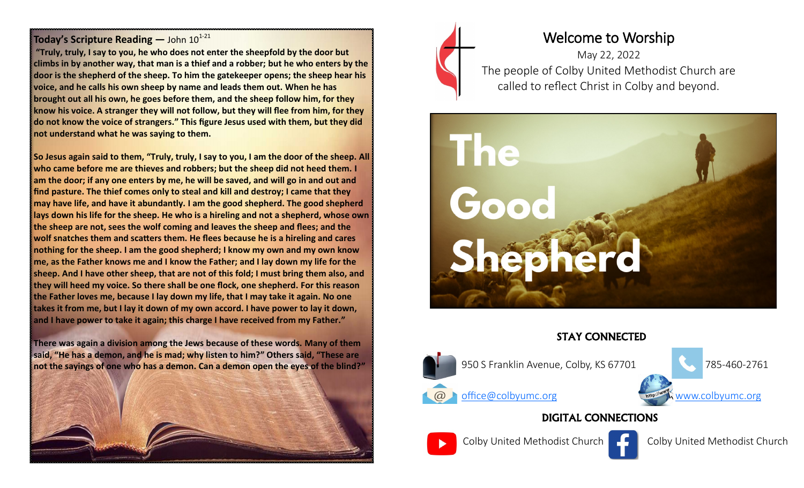#### **Today's Scripture Reading —** John  $10^{1-21}$

**"Truly, truly, I say to you, he who does not enter the sheepfold by the door but climbs in by another way, that man is a thief and a robber; but he who enters by the door is the shepherd of the sheep. To him the gatekeeper opens; the sheep hear his voice, and he calls his own sheep by name and leads them out. When he has brought out all his own, he goes before them, and the sheep follow him, for they know his voice. A stranger they will not follow, but they will flee from him, for they do not know the voice of strangers." This figure Jesus used with them, but they did not understand what he was saying to them.**

**So Jesus again said to them, "Truly, truly, I say to you, I am the door of the sheep. All who came before me are thieves and robbers; but the sheep did not heed them. I am the door; if any one enters by me, he will be saved, and will go in and out and find pasture. The thief comes only to steal and kill and destroy; I came that they may have life, and have it abundantly. I am the good shepherd. The good shepherd lays down his life for the sheep. He who is a hireling and not a shepherd, whose own the sheep are not, sees the wolf coming and leaves the sheep and flees; and the wolf snatches them and scatters them. He flees because he is a hireling and cares nothing for the sheep. I am the good shepherd; I know my own and my own know me, as the Father knows me and I know the Father; and I lay down my life for the sheep. And I have other sheep, that are not of this fold; I must bring them also, and they will heed my voice. So there shall be one flock, one shepherd. For this reason the Father loves me, because I lay down my life, that I may take it again. No one takes it from me, but I lay it down of my own accord. I have power to lay it down, and I have power to take it again; this charge I have received from my Father."**

**There was again a division among the Jews because of these words. Many of them said, "He has a demon, and he is mad; why listen to him?" Others said, "These are not the sayings of one who has a demon. Can a demon open the eyes of the blind?"**





# Welcome to Worship

May 22, 2022 The people of Colby United Methodist Church are called to reflect Christ in Colby and beyond.



### STAY CONNECTED



## DIGITAL CONNECTIONS





Colby United Methodist Church Colby United Methodist Church